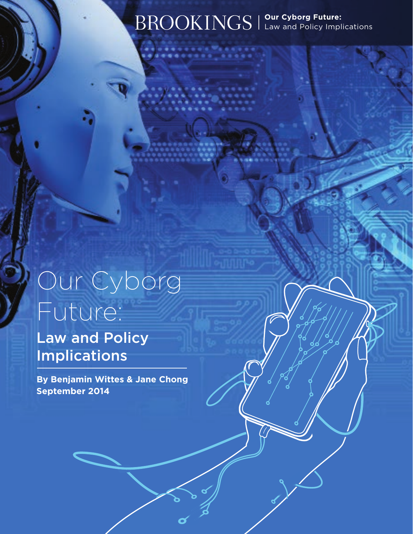## **Our Cyborg Future:**  Law and Policy Implications

# Our Cyborg Future:

Law and Policy Implications

**By Benjamin Wittes & Jane Chong September 2014**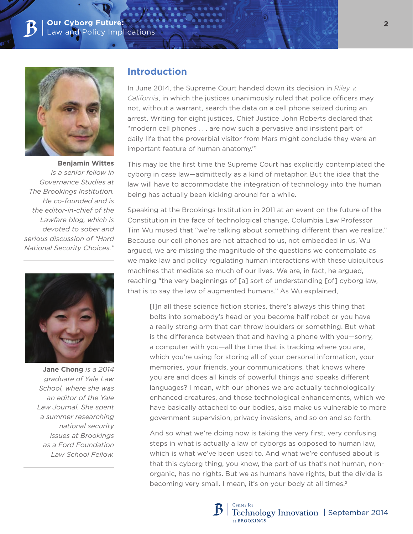

**Benjamin Wittes** *is a senior fellow in Governance Studies at The Brookings Institution. He co-founded and is the editor-in-chief of the Lawfare blog, which is devoted to sober and serious discussion of "Hard National Security Choices."*



**Jane Chong** *is a 2014 graduate of Yale Law School, where she was an editor of the Yale Law Journal. She spent a summer researching national security issues at Brookings as a Ford Foundation Law School Fellow.*

#### **Introduction**

In June 2014, the Supreme Court handed down its decision in *Riley v. California*, in which the justices unanimously ruled that police officers may not, without a warrant, search the data on a cell phone seized during an arrest. Writing for eight justices, Chief Justice John Roberts declared that "modern cell phones . . . are now such a pervasive and insistent part of daily life that the proverbial visitor from Mars might conclude they were an important feature of human anatomy."1

This may be the first time the Supreme Court has explicitly contemplated the cyborg in case law—admittedly as a kind of metaphor. But the idea that the law will have to accommodate the integration of technology into the human being has actually been kicking around for a while.

Speaking at the Brookings Institution in 2011 at an event on the future of the Constitution in the face of technological change, Columbia Law Professor Tim Wu mused that "we're talking about something different than we realize." Because our cell phones are not attached to us, not embedded in us, Wu argued, we are missing the magnitude of the questions we contemplate as we make law and policy regulating human interactions with these ubiquitous machines that mediate so much of our lives. We are, in fact, he argued, reaching "the very beginnings of [a] sort of understanding [of] cyborg law, that is to say the law of augmented humans." As Wu explained,

[I]n all these science fiction stories, there's always this thing that bolts into somebody's head or you become half robot or you have a really strong arm that can throw boulders or something. But what is the difference between that and having a phone with you—sorry, a computer with you—all the time that is tracking where you are, which you're using for storing all of your personal information, your memories, your friends, your communications, that knows where you are and does all kinds of powerful things and speaks different languages? I mean, with our phones we are actually technologically enhanced creatures, and those technological enhancements, which we have basically attached to our bodies, also make us vulnerable to more government supervision, privacy invasions, and so on and so forth.

And so what we're doing now is taking the very first, very confusing steps in what is actually a law of cyborgs as opposed to human law, which is what we've been used to. And what we're confused about is that this cyborg thing, you know, the part of us that's not human, nonorganic, has no rights. But we as humans have rights, but the divide is becoming very small. I mean, it's on your body at all times.<sup>2</sup>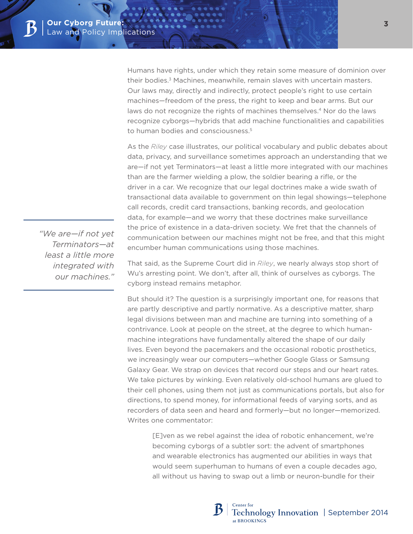Humans have rights, under which they retain some measure of dominion over their bodies.<sup>3</sup> Machines, meanwhile, remain slaves with uncertain masters. Our laws may, directly and indirectly, protect people's right to use certain machines—freedom of the press, the right to keep and bear arms. But our laws do not recognize the rights of machines themselves.<sup>4</sup> Nor do the laws recognize cyborgs—hybrids that add machine functionalities and capabilities to human bodies and consciousness.<sup>5</sup>

As the *Riley* case illustrates, our political vocabulary and public debates about data, privacy, and surveillance sometimes approach an understanding that we are—if not yet Terminators—at least a little more integrated with our machines than are the farmer wielding a plow, the soldier bearing a rifle, or the driver in a car. We recognize that our legal doctrines make a wide swath of transactional data available to government on thin legal showings—telephone call records, credit card transactions, banking records, and geolocation data, for example—and we worry that these doctrines make surveillance the price of existence in a data-driven society. We fret that the channels of communication between our machines might not be free, and that this might encumber human communications using those machines.

That said, as the Supreme Court did in *Riley*, we nearly always stop short of Wu's arresting point. We don't, after all, think of ourselves as cyborgs. The cyborg instead remains metaphor.

But should it? The question is a surprisingly important one, for reasons that are partly descriptive and partly normative. As a descriptive matter, sharp legal divisions between man and machine are turning into something of a contrivance. Look at people on the street, at the degree to which humanmachine integrations have fundamentally altered the shape of our daily lives. Even beyond the pacemakers and the occasional robotic prosthetics, we increasingly wear our computers—whether Google Glass or Samsung Galaxy Gear. We strap on devices that record our steps and our heart rates. We take pictures by winking. Even relatively old-school humans are glued to their cell phones, using them not just as communications portals, but also for directions, to spend money, for informational feeds of varying sorts, and as recorders of data seen and heard and formerly—but no longer—memorized. Writes one commentator:

[E]ven as we rebel against the idea of robotic enhancement, we're becoming cyborgs of a subtler sort: the advent of smartphones and wearable electronics has augmented our abilities in ways that would seem superhuman to humans of even a couple decades ago, all without us having to swap out a limb or neuron-bundle for their

*"We are—if not yet Terminators—at least a little more integrated with our machines."*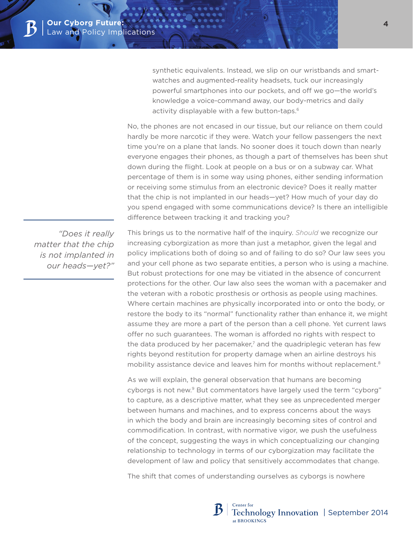synthetic equivalents. Instead, we slip on our wristbands and smartwatches and augmented-reality headsets, tuck our increasingly powerful smartphones into our pockets, and off we go—the world's knowledge a voice-command away, our body-metrics and daily activity displayable with a few button-taps.<sup>6</sup>

No, the phones are not encased in our tissue, but our reliance on them could hardly be more narcotic if they were. Watch your fellow passengers the next time you're on a plane that lands. No sooner does it touch down than nearly everyone engages their phones, as though a part of themselves has been shut down during the flight. Look at people on a bus or on a subway car. What percentage of them is in some way using phones, either sending information or receiving some stimulus from an electronic device? Does it really matter that the chip is not implanted in our heads—yet? How much of your day do you spend engaged with some communications device? Is there an intelligible difference between tracking it and tracking you?

 *"Does it really matter that the chip is not implanted in our heads—yet?"* This brings us to the normative half of the inquiry. *Should* we recognize our increasing cyborgization as more than just a metaphor, given the legal and policy implications both of doing so and of failing to do so? Our law sees you and your cell phone as two separate entities, a person who is using a machine. But robust protections for one may be vitiated in the absence of concurrent protections for the other. Our law also sees the woman with a pacemaker and the veteran with a robotic prosthesis or orthosis as people using machines. Where certain machines are physically incorporated into or onto the body, or restore the body to its "normal" functionality rather than enhance it, we might assume they are more a part of the person than a cell phone. Yet current laws offer no such guarantees. The woman is afforded no rights with respect to the data produced by her pacemaker, $7$  and the quadriplegic veteran has few rights beyond restitution for property damage when an airline destroys his mobility assistance device and leaves him for months without replacement.8

As we will explain, the general observation that humans are becoming cyborgs is not new.9 But commentators have largely used the term "cyborg" to capture, as a descriptive matter, what they see as unprecedented merger between humans and machines, and to express concerns about the ways in which the body and brain are increasingly becoming sites of control and commodification. In contrast, with normative vigor, we push the usefulness of the concept, suggesting the ways in which conceptualizing our changing relationship to technology in terms of our cyborgization may facilitate the development of law and policy that sensitively accommodates that change.

The shift that comes of understanding ourselves as cyborgs is nowhere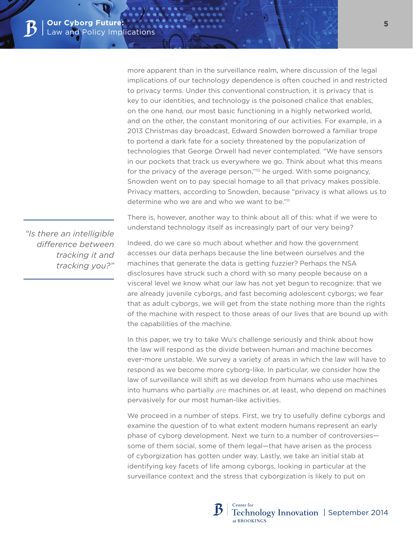more apparent than in the surveillance realm, where discussion of the legal implications of our technology dependence is often couched in and restricted to privacy terms. Under this conventional construction, it is privacy that is key to our identities, and technology is the poisoned chalice that enables, on the one hand, our most basic functioning in a highly networked world, and on the other, the constant monitoring of our activities. For example, in a 2013 Christmas day broadcast, Edward Snowden borrowed a familiar trope to portend a dark fate for a society threatened by the popularization of technologies that George Orwell had never contemplated. "We have sensors in our pockets that track us everywhere we go. Think about what this means for the privacy of the average person,"<sup>10</sup> he urged. With some poignancy, Snowden went on to pay special homage to all that privacy makes possible. Privacy matters, according to Snowden, because "privacy is what allows us to determine who we are and who we want to be."11

*"Is there an intelligible difference between tracking it and tracking you?"*

There is, however, another way to think about all of this: what if we were to understand technology itself as increasingly part of our very being?

Indeed, do we care so much about whether and how the government accesses our data perhaps because the line between ourselves and the machines that generate the data is getting fuzzier? Perhaps the NSA disclosures have struck such a chord with so many people because on a visceral level we know what our law has not yet begun to recognize: that we are already juvenile cyborgs, and fast becoming adolescent cyborgs; we fear that as adult cyborgs, we will get from the state nothing more than the rights of the machine with respect to those areas of our lives that are bound up with the capabilities of the machine.

In this paper, we try to take Wu's challenge seriously and think about how the law will respond as the divide between human and machine becomes ever-more unstable. We survey a variety of areas in which the law will have to respond as we become more cyborg-like. In particular, we consider how the law of surveillance will shift as we develop from humans who use machines into humans who partially *are* machines or, at least, who depend on machines pervasively for our most human-like activities.

We proceed in a number of steps. First, we try to usefully define cyborgs and examine the question of to what extent modern humans represent an early phase of cyborg development. Next we turn to a number of controversies some of them social, some of them legal—that have arisen as the process of cyborgization has gotten under way. Lastly, we take an initial stab at identifying key facets of life among cyborgs, looking in particular at the surveillance context and the stress that cyborgization is likely to put on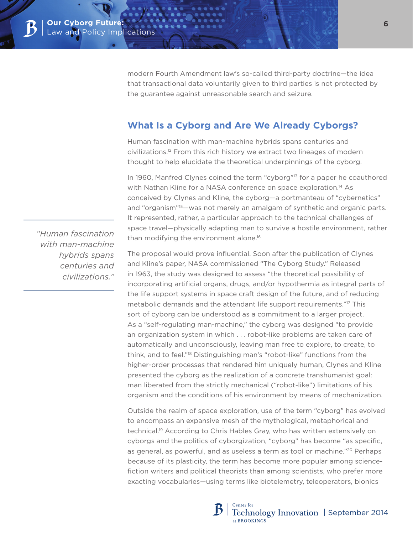modern Fourth Amendment law's so-called third-party doctrine—the idea that transactional data voluntarily given to third parties is not protected by the guarantee against unreasonable search and seizure.

# **What Is a Cyborg and Are We Already Cyborgs?**

Human fascination with man-machine hybrids spans centuries and civilizations.12 From this rich history we extract two lineages of modern thought to help elucidate the theoretical underpinnings of the cyborg.

In 1960, Manfred Clynes coined the term "cyborg"<sup>13</sup> for a paper he coauthored with Nathan Kline for a NASA conference on space exploration.<sup>14</sup> As conceived by Clynes and Kline, the cyborg—a portmanteau of "cybernetics" and "organism"15—was not merely an amalgam of synthetic and organic parts. It represented, rather, a particular approach to the technical challenges of space travel—physically adapting man to survive a hostile environment, rather than modifying the environment alone.16

The proposal would prove influential. Soon after the publication of Clynes and Kline's paper, NASA commissioned "The Cyborg Study." Released in 1963, the study was designed to assess "the theoretical possibility of incorporating artificial organs, drugs, and/or hypothermia as integral parts of the life support systems in space craft design of the future, and of reducing metabolic demands and the attendant life support requirements."17 This sort of cyborg can be understood as a commitment to a larger project. As a "self-regulating man-machine," the cyborg was designed "to provide an organization system in which . . . robot-like problems are taken care of automatically and unconsciously, leaving man free to explore, to create, to think, and to feel."18 Distinguishing man's "robot-like" functions from the higher-order processes that rendered him uniquely human, Clynes and Kline presented the cyborg as the realization of a concrete transhumanist goal: man liberated from the strictly mechanical ("robot-like") limitations of his organism and the conditions of his environment by means of mechanization.

Outside the realm of space exploration, use of the term "cyborg" has evolved to encompass an expansive mesh of the mythological, metaphorical and technical.19 According to Chris Hables Gray, who has written extensively on cyborgs and the politics of cyborgization, "cyborg" has become "as specific, as general, as powerful, and as useless a term as tool or machine."20 Perhaps because of its plasticity, the term has become more popular among sciencefiction writers and political theorists than among scientists, who prefer more exacting vocabularies—using terms like biotelemetry, teleoperators, bionics

 *"Human fascination with man-machine hybrids spans centuries and civilizations."*

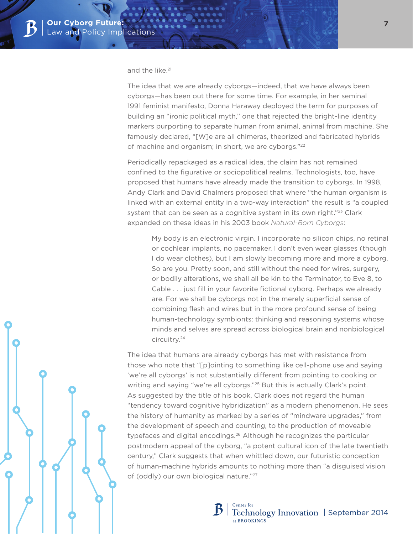#### and the like.<sup>21</sup>

The idea that we are already cyborgs—indeed, that we have always been cyborgs—has been out there for some time. For example, in her seminal 1991 feminist manifesto, Donna Haraway deployed the term for purposes of building an "ironic political myth," one that rejected the bright-line identity markers purporting to separate human from animal, animal from machine. She famously declared, "[W]e are all chimeras, theorized and fabricated hybrids of machine and organism; in short, we are cyborgs."<sup>22</sup>

Periodically repackaged as a radical idea, the claim has not remained confined to the figurative or sociopolitical realms. Technologists, too, have proposed that humans have already made the transition to cyborgs. In 1998, Andy Clark and David Chalmers proposed that where "the human organism is linked with an external entity in a two-way interaction" the result is "a coupled system that can be seen as a cognitive system in its own right."<sup>23</sup> Clark expanded on these ideas in his 2003 book *Natural-Born Cyborgs*:

My body is an electronic virgin. I incorporate no silicon chips, no retinal or cochlear implants, no pacemaker. I don't even wear glasses (though I do wear clothes), but I am slowly becoming more and more a cyborg. So are you. Pretty soon, and still without the need for wires, surgery, or bodily alterations, we shall all be kin to the Terminator, to Eve 8, to Cable . . . just fill in your favorite fictional cyborg. Perhaps we already are. For we shall be cyborgs not in the merely superficial sense of combining flesh and wires but in the more profound sense of being human-technology symbionts: thinking and reasoning systems whose minds and selves are spread across biological brain and nonbiological circuitry.24

The idea that humans are already cyborgs has met with resistance from those who note that "[p]ointing to something like cell-phone use and saying 'we're all cyborgs' is not substantially different from pointing to cooking or writing and saying "we're all cyborgs."<sup>25</sup> But this is actually Clark's point. As suggested by the title of his book, Clark does not regard the human "tendency toward cognitive hybridization" as a modern phenomenon. He sees the history of humanity as marked by a series of "mindware upgrades," from the development of speech and counting, to the production of moveable typefaces and digital encodings.26 Although he recognizes the particular postmodern appeal of the cyborg, "a potent cultural icon of the late twentieth century," Clark suggests that when whittled down, our futuristic conception of human-machine hybrids amounts to nothing more than "a disguised vision of (oddly) our own biological nature."27

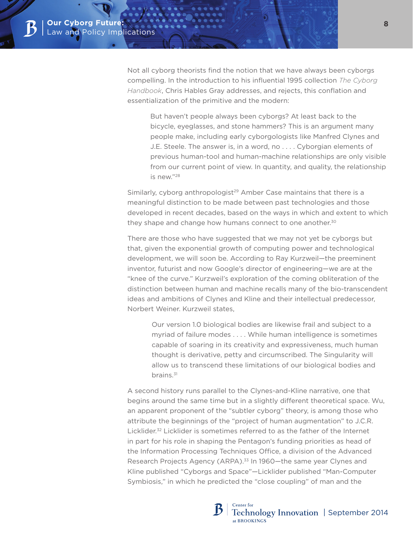Not all cyborg theorists find the notion that we have always been cyborgs compelling. In the introduction to his influential 1995 collection *The Cyborg Handbook*, Chris Hables Gray addresses, and rejects, this conflation and essentialization of the primitive and the modern:

But haven't people always been cyborgs? At least back to the bicycle, eyeglasses, and stone hammers? This is an argument many people make, including early cyborgologists like Manfred Clynes and J.E. Steele. The answer is, in a word, no . . . . Cyborgian elements of previous human-tool and human-machine relationships are only visible from our current point of view. In quantity, and quality, the relationship is new."28

Similarly, cyborg anthropologist<sup>29</sup> Amber Case maintains that there is a meaningful distinction to be made between past technologies and those developed in recent decades, based on the ways in which and extent to which they shape and change how humans connect to one another.<sup>30</sup>

There are those who have suggested that we may not yet be cyborgs but that, given the exponential growth of computing power and technological development, we will soon be. According to Ray Kurzweil—the preeminent inventor, futurist and now Google's director of engineering—we are at the "knee of the curve." Kurzweil's exploration of the coming obliteration of the distinction between human and machine recalls many of the bio-transcendent ideas and ambitions of Clynes and Kline and their intellectual predecessor, Norbert Weiner. Kurzweil states,

Our version 1.0 biological bodies are likewise frail and subject to a myriad of failure modes . . . . While human intelligence is sometimes capable of soaring in its creativity and expressiveness, much human thought is derivative, petty and circumscribed. The Singularity will allow us to transcend these limitations of our biological bodies and brains.<sup>31</sup>

A second history runs parallel to the Clynes-and-Kline narrative, one that begins around the same time but in a slightly different theoretical space. Wu, an apparent proponent of the "subtler cyborg" theory, is among those who attribute the beginnings of the "project of human augmentation" to J.C.R. Licklider.32 Licklider is sometimes referred to as the father of the Internet in part for his role in shaping the Pentagon's funding priorities as head of the Information Processing Techniques Office, a division of the Advanced Research Projects Agency (ARPA).<sup>33</sup> In 1960—the same year Clynes and Kline published "Cyborgs and Space"—Licklider published "Man-Computer Symbiosis," in which he predicted the "close coupling" of man and the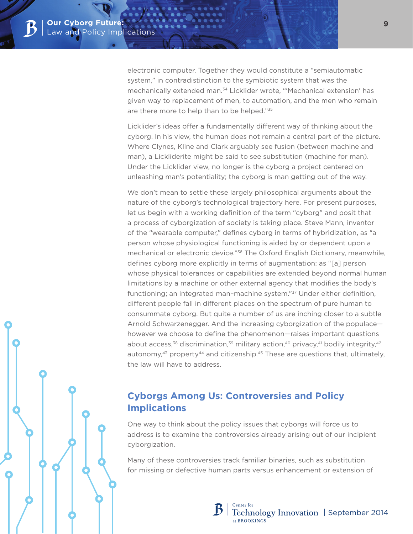electronic computer. Together they would constitute a "semiautomatic system," in contradistinction to the symbiotic system that was the mechanically extended man.34 Licklider wrote, "'Mechanical extension' has given way to replacement of men, to automation, and the men who remain are there more to help than to be helped."<sup>35</sup>

Licklider's ideas offer a fundamentally different way of thinking about the cyborg. In his view, the human does not remain a central part of the picture. Where Clynes, Kline and Clark arguably see fusion (between machine and man), a Lickliderite might be said to see substitution (machine for man). Under the Licklider view, no longer is the cyborg a project centered on unleashing man's potentiality; the cyborg is man getting out of the way.

We don't mean to settle these largely philosophical arguments about the nature of the cyborg's technological trajectory here. For present purposes, let us begin with a working definition of the term "cyborg" and posit that a process of cyborgization of society is taking place. Steve Mann, inventor of the "wearable computer," defines cyborg in terms of hybridization, as "a person whose physiological functioning is aided by or dependent upon a mechanical or electronic device."36 The Oxford English Dictionary, meanwhile, defines cyborg more explicitly in terms of augmentation: as "[a] person whose physical tolerances or capabilities are extended beyond normal human limitations by a machine or other external agency that modifies the body's functioning; an integrated man–machine system."37 Under either definition, different people fall in different places on the spectrum of pure human to consummate cyborg. But quite a number of us are inching closer to a subtle Arnold Schwarzenegger. And the increasing cyborgization of the populace however we choose to define the phenomenon—raises important questions about access,<sup>38</sup> discrimination,<sup>39</sup> military action,<sup>40</sup> privacy,<sup>41</sup> bodily integrity,<sup>42</sup> autonomy, $43$  property $44$  and citizenship. $45$  These are questions that, ultimately, the law will have to address.

# **Cyborgs Among Us: Controversies and Policy Implications**

One way to think about the policy issues that cyborgs will force us to address is to examine the controversies already arising out of our incipient cyborgization.

Many of these controversies track familiar binaries, such as substitution for missing or defective human parts versus enhancement or extension of

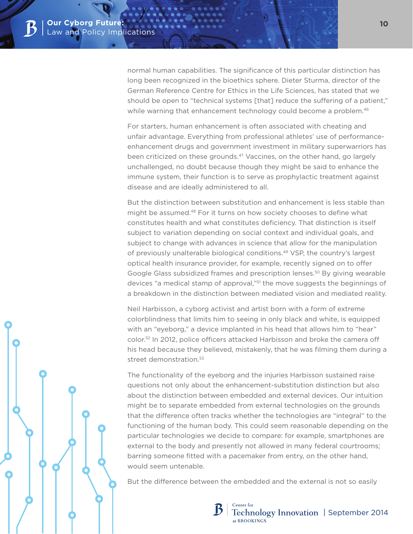normal human capabilities. The significance of this particular distinction has long been recognized in the bioethics sphere. Dieter Sturma, director of the German Reference Centre for Ethics in the Life Sciences, has stated that we should be open to "technical systems [that] reduce the suffering of a patient," while warning that enhancement technology could become a problem.<sup>46</sup>

For starters, human enhancement is often associated with cheating and unfair advantage. Everything from professional athletes' use of performanceenhancement drugs and government investment in military superwarriors has been criticized on these grounds.<sup>47</sup> Vaccines, on the other hand, go largely unchallenged, no doubt because though they might be said to enhance the immune system, their function is to serve as prophylactic treatment against disease and are ideally administered to all.

But the distinction between substitution and enhancement is less stable than might be assumed.48 For it turns on how society chooses to define what constitutes health and what constitutes deficiency. That distinction is itself subject to variation depending on social context and individual goals, and subject to change with advances in science that allow for the manipulation of previously unalterable biological conditions.49 VSP, the country's largest optical health insurance provider, for example, recently signed on to offer Google Glass subsidized frames and prescription lenses.<sup>50</sup> By giving wearable devices "a medical stamp of approval,"<sup>51</sup> the move suggests the beginnings of a breakdown in the distinction between mediated vision and mediated reality.

Neil Harbisson, a cyborg activist and artist born with a form of extreme colorblindness that limits him to seeing in only black and white, is equipped with an "eyeborg," a device implanted in his head that allows him to "hear" color.52 In 2012, police officers attacked Harbisson and broke the camera off his head because they believed, mistakenly, that he was filming them during a street demonstration.<sup>53</sup>

The functionality of the eyeborg and the injuries Harbisson sustained raise questions not only about the enhancement-substitution distinction but also about the distinction between embedded and external devices. Our intuition might be to separate embedded from external technologies on the grounds that the difference often tracks whether the technologies are "integral" to the functioning of the human body. This could seem reasonable depending on the particular technologies we decide to compare: for example, smartphones are external to the body and presently not allowed in many federal courtrooms; barring someone fitted with a pacemaker from entry, on the other hand, would seem untenable.

But the difference between the embedded and the external is not so easily

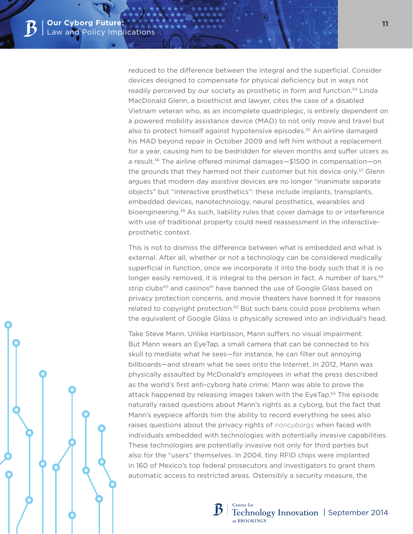reduced to the difference between the integral and the superficial. Consider devices designed to compensate for physical deficiency but in ways not readily perceived by our society as prosthetic in form and function.<sup>54</sup> Linda MacDonald Glenn, a bioethicist and lawyer, cites the case of a disabled Vietnam veteran who, as an incomplete quadriplegic, is entirely dependent on a powered mobility assistance device (MAD) to not only move and travel but also to protect himself against hypotensive episodes.55 An airline damaged his MAD beyond repair in October 2009 and left him without a replacement for a year, causing him to be bedridden for eleven months and suffer ulcers as a result.56 The airline offered minimal damages—\$1500 in compensation—on the grounds that they harmed not their customer but his device only.<sup>57</sup> Glenn argues that modern day assistive devices are no longer "inanimate separate objects" but "interactive prosthetics": these include implants, transplants, embedded devices, nanotechnology, neural prosthetics, wearables and bioengineering.58 As such, liability rules that cover damage to or interference with use of traditional property could need reassessment in the interactiveprosthetic context.

This is not to dismiss the difference between what is embedded and what is external. After all, whether or not a technology can be considered medically superficial in function, once we incorporate it into the body such that it is no longer easily removed, it is integral to the person in fact. A number of bars,<sup>59</sup> strip clubs<sup>60</sup> and casinos<sup>61</sup> have banned the use of Google Glass based on privacy protection concerns, and movie theaters have banned it for reasons related to copyright protection.<sup>62</sup> But such bans could pose problems when the equivalent of Google Glass is physically screwed into an individual's head.

Take Steve Mann. Unlike Harbisson, Mann suffers no visual impairment. But Mann wears an EyeTap, a small camera that can be connected to his skull to mediate what he sees—for instance, he can filter out annoying billboards—and stream what he sees onto the Internet. In 2012, Mann was physically assaulted by McDonald's employees in what the press described as the world's first anti-cyborg hate crime; Mann was able to prove the attack happened by releasing images taken with the EyeTap.63 The episode naturally raised questions about Mann's rights as a cyborg, but the fact that Mann's eyepiece affords him the ability to record everything he sees also raises questions about the privacy rights of *noncyborgs* when faced with individuals embedded with technologies with potentially invasive capabilities. These technologies are potentially invasive not only for third parties but also for the "users" themselves. In 2004, tiny RFID chips were implanted in 160 of Mexico's top federal prosecutors and investigators to grant them automatic access to restricted areas. Ostensibly a security measure, the

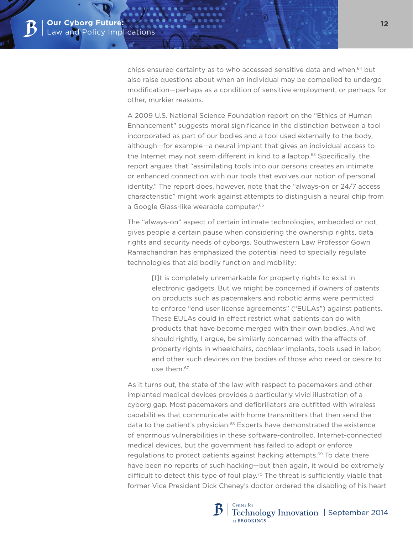chips ensured certainty as to who accessed sensitive data and when,<sup>64</sup> but also raise questions about when an individual may be compelled to undergo modification—perhaps as a condition of sensitive employment, or perhaps for other, murkier reasons.

A 2009 U.S. National Science Foundation report on the "Ethics of Human Enhancement" suggests moral significance in the distinction between a tool incorporated as part of our bodies and a tool used externally to the body, although—for example—a neural implant that gives an individual access to the Internet may not seem different in kind to a laptop.<sup>65</sup> Specifically, the report argues that "assimilating tools into our persons creates an intimate or enhanced connection with our tools that evolves our notion of personal identity." The report does, however, note that the "always-on or 24/7 access characteristic" might work against attempts to distinguish a neural chip from a Google Glass-like wearable computer.<sup>66</sup>

The "always-on" aspect of certain intimate technologies, embedded or not, gives people a certain pause when considering the ownership rights, data rights and security needs of cyborgs. Southwestern Law Professor Gowri Ramachandran has emphasized the potential need to specially regulate technologies that aid bodily function and mobility:

[I]t is completely unremarkable for property rights to exist in electronic gadgets. But we might be concerned if owners of patents on products such as pacemakers and robotic arms were permitted to enforce "end user license agreements" ("EULAs") against patients. These EULAs could in effect restrict what patients can do with products that have become merged with their own bodies. And we should rightly, I argue, be similarly concerned with the effects of property rights in wheelchairs, cochlear implants, tools used in labor, and other such devices on the bodies of those who need or desire to use them.67

As it turns out, the state of the law with respect to pacemakers and other implanted medical devices provides a particularly vivid illustration of a cyborg gap. Most pacemakers and defibrillators are outfitted with wireless capabilities that communicate with home transmitters that then send the data to the patient's physician.68 Experts have demonstrated the existence of enormous vulnerabilities in these software-controlled, Internet-connected medical devices, but the government has failed to adopt or enforce regulations to protect patients against hacking attempts.69 To date there have been no reports of such hacking—but then again, it would be extremely difficult to detect this type of foul play.<sup>70</sup> The threat is sufficiently viable that former Vice President Dick Cheney's doctor ordered the disabling of his heart

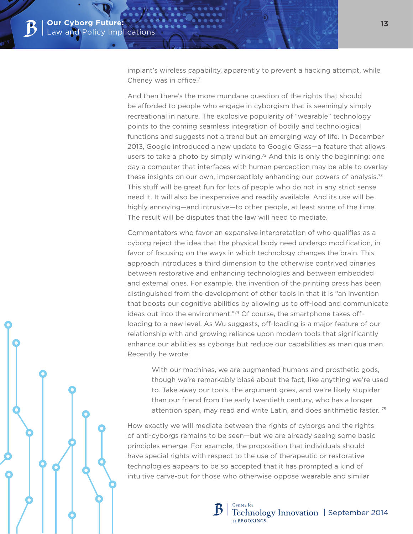implant's wireless capability, apparently to prevent a hacking attempt, while Cheney was in office.71

And then there's the more mundane question of the rights that should be afforded to people who engage in cyborgism that is seemingly simply recreational in nature. The explosive popularity of "wearable" technology points to the coming seamless integration of bodily and technological functions and suggests not a trend but an emerging way of life. In December 2013, Google introduced a new update to Google Glass—a feature that allows users to take a photo by simply winking.<sup>72</sup> And this is only the beginning: one day a computer that interfaces with human perception may be able to overlay these insights on our own, imperceptibly enhancing our powers of analysis.<sup>73</sup> This stuff will be great fun for lots of people who do not in any strict sense need it. It will also be inexpensive and readily available. And its use will be highly annoying—and intrusive—to other people, at least some of the time. The result will be disputes that the law will need to mediate.

Commentators who favor an expansive interpretation of who qualifies as a cyborg reject the idea that the physical body need undergo modification, in favor of focusing on the ways in which technology changes the brain. This approach introduces a third dimension to the otherwise contrived binaries between restorative and enhancing technologies and between embedded and external ones. For example, the invention of the printing press has been distinguished from the development of other tools in that it is "an invention that boosts our cognitive abilities by allowing us to off-load and communicate ideas out into the environment."74 Of course, the smartphone takes offloading to a new level. As Wu suggests, off-loading is a major feature of our relationship with and growing reliance upon modern tools that significantly enhance our abilities as cyborgs but reduce our capabilities as man qua man. Recently he wrote:

With our machines, we are augmented humans and prosthetic gods, though we're remarkably blasé about the fact, like anything we're used to. Take away our tools, the argument goes, and we're likely stupider than our friend from the early twentieth century, who has a longer attention span, may read and write Latin, and does arithmetic faster. 75

How exactly we will mediate between the rights of cyborgs and the rights of anti-cyborgs remains to be seen—but we are already seeing some basic principles emerge. For example, the proposition that individuals should have special rights with respect to the use of therapeutic or restorative technologies appears to be so accepted that it has prompted a kind of intuitive carve-out for those who otherwise oppose wearable and similar

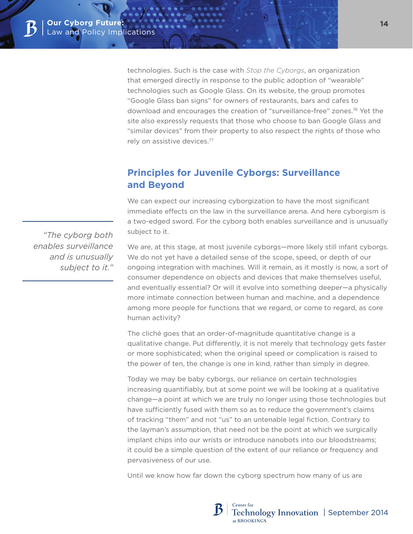technologies. Such is the case with *Stop the Cyborgs*, an organization that emerged directly in response to the public adoption of "wearable" technologies such as Google Glass. On its website, the group promotes "Google Glass ban signs" for owners of restaurants, bars and cafes to download and encourages the creation of "surveillance-free" zones.76 Yet the site also expressly requests that those who choose to ban Google Glass and "similar devices" from their property to also respect the rights of those who rely on assistive devices.77

# **Principles for Juvenile Cyborgs: Surveillance and Beyond**

We can expect our increasing cyborgization to have the most significant immediate effects on the law in the surveillance arena. And here cyborgism is a two-edged sword. For the cyborg both enables surveillance and is unusually subject to it.

We are, at this stage, at most juvenile cyborgs—more likely still infant cyborgs. We do not yet have a detailed sense of the scope, speed, or depth of our ongoing integration with machines. Will it remain, as it mostly is now, a sort of consumer dependence on objects and devices that make themselves useful, and eventually essential? Or will it evolve into something deeper—a physically more intimate connection between human and machine, and a dependence among more people for functions that we regard, or come to regard, as core human activity?

The cliché goes that an order-of-magnitude quantitative change is a qualitative change. Put differently, it is not merely that technology gets faster or more sophisticated; when the original speed or complication is raised to the power of ten, the change is one in kind, rather than simply in degree.

Today we may be baby cyborgs, our reliance on certain technologies increasing quantifiably, but at some point we will be looking at a qualitative change—a point at which we are truly no longer using those technologies but have sufficiently fused with them so as to reduce the government's claims of tracking "them" and not "us" to an untenable legal fiction. Contrary to the layman's assumption, that need not be the point at which we surgically implant chips into our wrists or introduce nanobots into our bloodstreams; it could be a simple question of the extent of our reliance or frequency and pervasiveness of our use.

Until we know how far down the cyborg spectrum how many of us are

*"The cyborg both enables surveillance and is unusually subject to it."*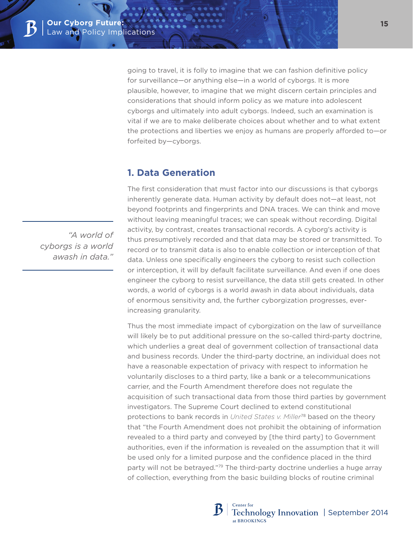going to travel, it is folly to imagine that we can fashion definitive policy for surveillance—or anything else—in a world of cyborgs. It is more plausible, however, to imagine that we might discern certain principles and considerations that should inform policy as we mature into adolescent cyborgs and ultimately into adult cyborgs. Indeed, such an examination is vital if we are to make deliberate choices about whether and to what extent the protections and liberties we enjoy as humans are properly afforded to—or forfeited by—cyborgs.

## **1. Data Generation**

The first consideration that must factor into our discussions is that cyborgs inherently generate data. Human activity by default does not—at least, not beyond footprints and fingerprints and DNA traces. We can think and move without leaving meaningful traces; we can speak without recording. Digital activity, by contrast, creates transactional records. A cyborg's activity is thus presumptively recorded and that data may be stored or transmitted. To record or to transmit data is also to enable collection or interception of that data. Unless one specifically engineers the cyborg to resist such collection or interception, it will by default facilitate surveillance. And even if one does engineer the cyborg to resist surveillance, the data still gets created. In other words, a world of cyborgs is a world awash in data about individuals, data of enormous sensitivity and, the further cyborgization progresses, everincreasing granularity.

Thus the most immediate impact of cyborgization on the law of surveillance will likely be to put additional pressure on the so-called third-party doctrine, which underlies a great deal of government collection of transactional data and business records. Under the third-party doctrine, an individual does not have a reasonable expectation of privacy with respect to information he voluntarily discloses to a third party, like a bank or a telecommunications carrier, and the Fourth Amendment therefore does not regulate the acquisition of such transactional data from those third parties by government investigators. The Supreme Court declined to extend constitutional protections to bank records in *United States v. Miller*78 based on the theory that "the Fourth Amendment does not prohibit the obtaining of information revealed to a third party and conveyed by [the third party] to Government authorities, even if the information is revealed on the assumption that it will be used only for a limited purpose and the confidence placed in the third party will not be betrayed."79 The third-party doctrine underlies a huge array of collection, everything from the basic building blocks of routine criminal

*"A world of cyborgs is a world awash in data."*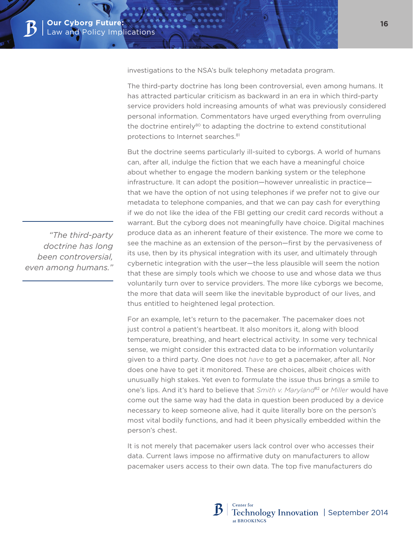investigations to the NSA's bulk telephony metadata program.

The third-party doctrine has long been controversial, even among humans. It has attracted particular criticism as backward in an era in which third-party service providers hold increasing amounts of what was previously considered personal information. Commentators have urged everything from overruling the doctrine entirely<sup>80</sup> to adapting the doctrine to extend constitutional protections to Internet searches.<sup>81</sup>

But the doctrine seems particularly ill-suited to cyborgs. A world of humans can, after all, indulge the fiction that we each have a meaningful choice about whether to engage the modern banking system or the telephone infrastructure. It can adopt the position—however unrealistic in practice that we have the option of not using telephones if we prefer not to give our metadata to telephone companies, and that we can pay cash for everything if we do not like the idea of the FBI getting our credit card records without a warrant. But the cyborg does not meaningfully have choice. Digital machines produce data as an inherent feature of their existence. The more we come to see the machine as an extension of the person—first by the pervasiveness of its use, then by its physical integration with its user, and ultimately through cybernetic integration with the user—the less plausible will seem the notion that these are simply tools which we choose to use and whose data we thus voluntarily turn over to service providers. The more like cyborgs we become, the more that data will seem like the inevitable byproduct of our lives, and thus entitled to heightened legal protection.

For an example, let's return to the pacemaker. The pacemaker does not just control a patient's heartbeat. It also monitors it, along with blood temperature, breathing, and heart electrical activity. In some very technical sense, we might consider this extracted data to be information voluntarily given to a third party. One does not *have* to get a pacemaker, after all. Nor does one have to get it monitored. These are choices, albeit choices with unusually high stakes. Yet even to formulate the issue thus brings a smile to one's lips. And it's hard to believe that *Smith v. Maryland*82 or *Miller* would have come out the same way had the data in question been produced by a device necessary to keep someone alive, had it quite literally bore on the person's most vital bodily functions, and had it been physically embedded within the person's chest.

It is not merely that pacemaker users lack control over who accesses their data. Current laws impose no affirmative duty on manufacturers to allow pacemaker users access to their own data. The top five manufacturers do

*"The third-party doctrine has long been controversial, even among humans."*

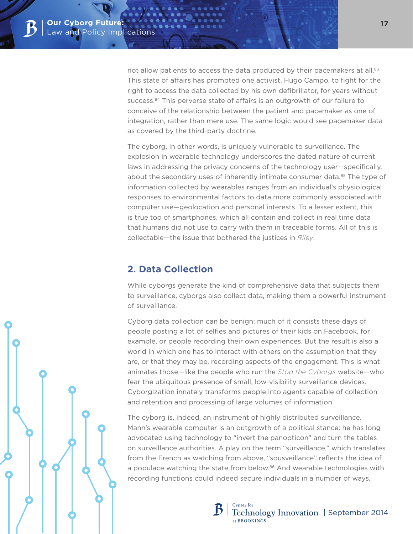not allow patients to access the data produced by their pacemakers at all.<sup>83</sup> This state of affairs has prompted one activist, Hugo Campo, to fight for the right to access the data collected by his own defibrillator, for years without success.<sup>84</sup> This perverse state of affairs is an outgrowth of our failure to conceive of the relationship between the patient and pacemaker as one of integration, rather than mere use. The same logic would see pacemaker data as covered by the third-party doctrine.

The cyborg, in other words, is uniquely vulnerable to surveillance. The explosion in wearable technology underscores the dated nature of current laws in addressing the privacy concerns of the technology user—specifically, about the secondary uses of inherently intimate consumer data.<sup>85</sup> The type of information collected by wearables ranges from an individual's physiological responses to environmental factors to data more commonly associated with computer use—geolocation and personal interests. To a lesser extent, this is true too of smartphones, which all contain and collect in real time data that humans did not use to carry with them in traceable forms. All of this is collectable—the issue that bothered the justices in *Riley*.

# **2. Data Collection**

While cyborgs generate the kind of comprehensive data that subjects them to surveillance, cyborgs also collect data, making them a powerful instrument of surveillance.

Cyborg data collection can be benign; much of it consists these days of people posting a lot of selfies and pictures of their kids on Facebook, for example, or people recording their own experiences. But the result is also a world in which one has to interact with others on the assumption that they are, or that they may be, recording aspects of the engagement. This is what animates those—like the people who run the *Stop the Cyborgs* website—who fear the ubiquitous presence of small, low-visibility surveillance devices. Cyborgization innately transforms people into agents capable of collection and retention and processing of large volumes of information.

The cyborg is, indeed, an instrument of highly distributed surveillance. Mann's wearable computer is an outgrowth of a political stance: he has long advocated using technology to "invert the panopticon" and turn the tables on surveillance authorities. A play on the term "surveillance," which translates from the French as watching from above, "sousveillance" reflects the idea of a populace watching the state from below.<sup>86</sup> And wearable technologies with recording functions could indeed secure individuals in a number of ways,

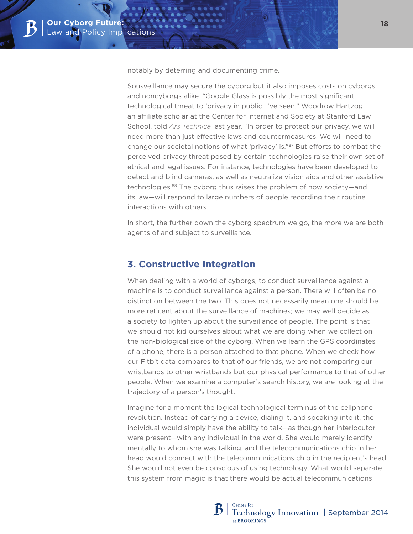notably by deterring and documenting crime.

Sousveillance may secure the cyborg but it also imposes costs on cyborgs and noncyborgs alike. "Google Glass is possibly the most significant technological threat to 'privacy in public' I've seen," Woodrow Hartzog, an affiliate scholar at the Center for Internet and Society at Stanford Law School, told *Ars Technica* last year. "In order to protect our privacy, we will need more than just effective laws and countermeasures. We will need to change our societal notions of what 'privacy' is."<sup>87</sup> But efforts to combat the perceived privacy threat posed by certain technologies raise their own set of ethical and legal issues. For instance, technologies have been developed to detect and blind cameras, as well as neutralize vision aids and other assistive technologies.88 The cyborg thus raises the problem of how society—and its law—will respond to large numbers of people recording their routine interactions with others.

In short, the further down the cyborg spectrum we go, the more we are both agents of and subject to surveillance.

## **3. Constructive Integration**

When dealing with a world of cyborgs, to conduct surveillance against a machine is to conduct surveillance against a person. There will often be no distinction between the two. This does not necessarily mean one should be more reticent about the surveillance of machines; we may well decide as a society to lighten up about the surveillance of people. The point is that we should not kid ourselves about what we are doing when we collect on the non-biological side of the cyborg. When we learn the GPS coordinates of a phone, there is a person attached to that phone. When we check how our Fitbit data compares to that of our friends, we are not comparing our wristbands to other wristbands but our physical performance to that of other people. When we examine a computer's search history, we are looking at the trajectory of a person's thought.

Imagine for a moment the logical technological terminus of the cellphone revolution. Instead of carrying a device, dialing it, and speaking into it, the individual would simply have the ability to talk—as though her interlocutor were present—with any individual in the world. She would merely identify mentally to whom she was talking, and the telecommunications chip in her head would connect with the telecommunications chip in the recipient's head. She would not even be conscious of using technology. What would separate this system from magic is that there would be actual telecommunications

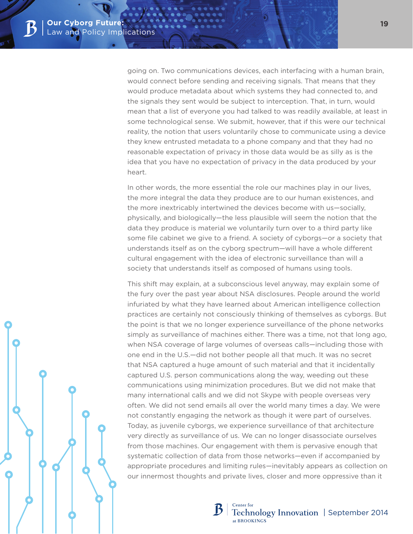going on. Two communications devices, each interfacing with a human brain, would connect before sending and receiving signals. That means that they would produce metadata about which systems they had connected to, and the signals they sent would be subject to interception. That, in turn, would mean that a list of everyone you had talked to was readily available, at least in some technological sense. We submit, however, that if this were our technical reality, the notion that users voluntarily chose to communicate using a device they knew entrusted metadata to a phone company and that they had no reasonable expectation of privacy in those data would be as silly as is the idea that you have no expectation of privacy in the data produced by your heart.

In other words, the more essential the role our machines play in our lives, the more integral the data they produce are to our human existences, and the more inextricably intertwined the devices become with us—socially, physically, and biologically—the less plausible will seem the notion that the data they produce is material we voluntarily turn over to a third party like some file cabinet we give to a friend. A society of cyborgs—or a society that understands itself as on the cyborg spectrum—will have a whole different cultural engagement with the idea of electronic surveillance than will a society that understands itself as composed of humans using tools.

This shift may explain, at a subconscious level anyway, may explain some of the fury over the past year about NSA disclosures. People around the world infuriated by what they have learned about American intelligence collection practices are certainly not consciously thinking of themselves as cyborgs. But the point is that we no longer experience surveillance of the phone networks simply as surveillance of machines either. There was a time, not that long ago, when NSA coverage of large volumes of overseas calls—including those with one end in the U.S.—did not bother people all that much. It was no secret that NSA captured a huge amount of such material and that it incidentally captured U.S. person communications along the way, weeding out these communications using minimization procedures. But we did not make that many international calls and we did not Skype with people overseas very often. We did not send emails all over the world many times a day. We were not constantly engaging the network as though it were part of ourselves. Today, as juvenile cyborgs, we experience surveillance of that architecture very directly as surveillance of us. We can no longer disassociate ourselves from those machines. Our engagement with them is pervasive enough that systematic collection of data from those networks—even if accompanied by appropriate procedures and limiting rules—inevitably appears as collection on our innermost thoughts and private lives, closer and more oppressive than it

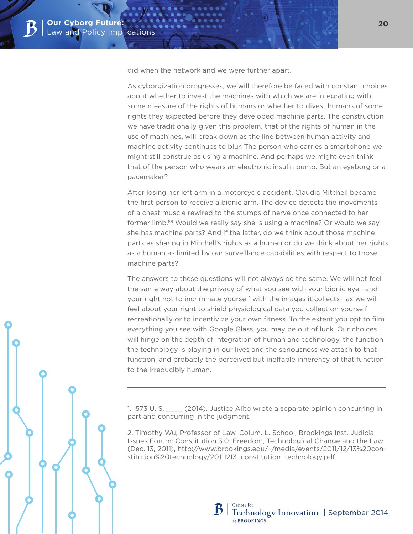did when the network and we were further apart.

As cyborgization progresses, we will therefore be faced with constant choices about whether to invest the machines with which we are integrating with some measure of the rights of humans or whether to divest humans of some rights they expected before they developed machine parts. The construction we have traditionally given this problem, that of the rights of human in the use of machines, will break down as the line between human activity and machine activity continues to blur. The person who carries a smartphone we might still construe as using a machine. And perhaps we might even think that of the person who wears an electronic insulin pump. But an eyeborg or a pacemaker?

After losing her left arm in a motorcycle accident, Claudia Mitchell became the first person to receive a bionic arm. The device detects the movements of a chest muscle rewired to the stumps of nerve once connected to her former limb.89 Would we really say she is using a machine? Or would we say she has machine parts? And if the latter, do we think about those machine parts as sharing in Mitchell's rights as a human or do we think about her rights as a human as limited by our surveillance capabilities with respect to those machine parts?

The answers to these questions will not always be the same. We will not feel the same way about the privacy of what you see with your bionic eye—and your right not to incriminate yourself with the images it collects—as we will feel about your right to shield physiological data you collect on yourself recreationally or to incentivize your own fitness. To the extent you opt to film everything you see with Google Glass, you may be out of luck. Our choices will hinge on the depth of integration of human and technology, the function the technology is playing in our lives and the seriousness we attach to that function, and probably the perceived but ineffable inherency of that function to the irreducibly human.

1. 573 U. S. \_\_\_\_ (2014). Justice Alito wrote a separate opinion concurring in part and concurring in the judgment.

2. Timothy Wu, Professor of Law, Colum. L. School, Brookings Inst. Judicial Issues Forum: Constitution 3.0: Freedom, Technological Change and the Law (Dec. 13, 2011), http://www.brookings.edu/~/media/events/2011/12/13%20constitution%20technology/20111213\_constitution\_technology.pdf.

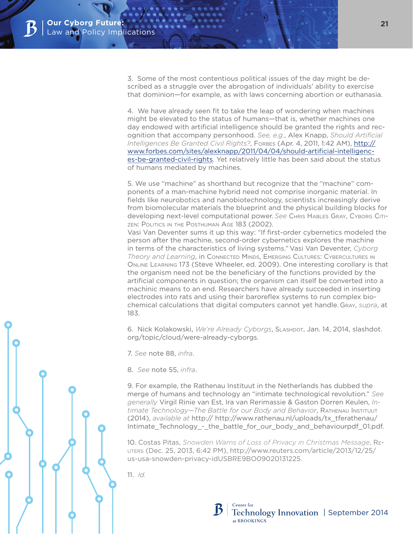3. Some of the most contentious political issues of the day might be described as a struggle over the abrogation of individuals' ability to exercise that dominion—for example, as with laws concerning abortion or euthanasia.

4. We have already seen fit to take the leap of wondering when machines might be elevated to the status of humans—that is, whether machines one day endowed with artificial intelligence should be granted the rights and recognition that accompany personhood. *See, e.g.*, Alex Knapp, *Should Artificial Intelligences Be Granted Civil Rights?*, Forbes (Apr. 4, 2011, 1:42 AM), [http://](http://www.forbes.com/sites/alexknapp/2011/04/04/should-artificial-intelligences-be-granted-civil-rights) [www.forbes.com/sites/alexknapp/2011/04/04/should-artificial-intelligenc](http://www.forbes.com/sites/alexknapp/2011/04/04/should-artificial-intelligences-be-granted-civil-rights)[es-be-granted-civil-rights.](http://www.forbes.com/sites/alexknapp/2011/04/04/should-artificial-intelligences-be-granted-civil-rights) Yet relatively little has been said about the status of humans mediated by machines.

5. We use "machine" as shorthand but recognize that the "machine" components of a man-machine hybrid need not comprise inorganic material. In fields like neurobotics and nanobiotechnology, scientists increasingly derive from biomolecular materials the blueprint and the physical building blocks for developing next-level computational power. *See* Chris Hables Gray, Cyborg Citizen: Politics in the Posthuman Age 183 (2002).

Vasi Van Deventer sums it up this way: "If first-order cybernetics modeled the person after the machine, second-order cybernetics explores the machine in terms of the characteristics of living systems." Vasi Van Deventer, *Cyborg Theory and Learning*, in Connected Minds, Emerging Cultures: Cybercultures in Online Learning 173 (Steve Wheeler, ed. 2009). One interesting corollary is that the organism need not be the beneficiary of the functions provided by the artificial components in question; the organism can itself be converted into a machinic means to an end. Researchers have already succeeded in inserting electrodes into rats and using their baroreflex systems to run complex biochemical calculations that digital computers cannot yet handle. Gray, *supra*, at 183.

6. Nick Kolakowski, *We're Already Cyborgs*, Slashdot, Jan. 14, 2014, slashdot. org/topic/cloud/were-already-cyborgs.

7. *See* note 88, *infra*.

8. *See* note 55, *infra*.

9. For example, the Rathenau Instituut in the Netherlands has dubbed the merge of humans and technology an "intimate technological revolution." *See generally* Virgil Rinie van Est, Ira van Rerimassie & Gaston Dorren Keulen, *Intimate Technology—The Battle for our Body and Behavior*, Rathenau Instituut (2014), *available at* http:// http://www.rathenau.nl/uploads/tx\_tferathenau/ Intimate\_Technology\_-\_the\_battle\_for\_our\_body\_and\_behaviourpdf\_01.pdf.

10. Costas Pitas, *Snowden Warns of Loss of Privacy in Christmas Message*, Reuters (Dec. 25, 2013, 6:42 PM), http://www.reuters.com/article/2013/12/25/ us-usa-snowden-privacy-idUSBRE9BO09020131225.

11. *Id.*

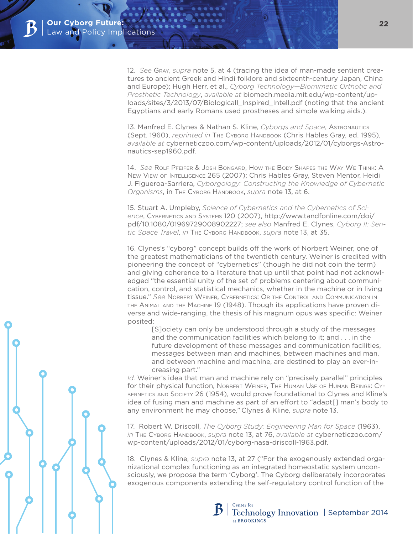12. *See* Gray, *supra* note 5, at 4 (tracing the idea of man-made sentient creatures to ancient Greek and Hindi folklore and sixteenth-century Japan, China and Europe); Hugh Herr, et al., *Cyborg Technology—Biomimetic Orthotic and Prosthetic Technology*, *available at* biomech.media.mit.edu/wp-content/uploads/sites/3/2013/07/Biologicall\_Inspired\_Intell.pdf (noting that the ancient Egyptians and early Romans used prostheses and simple walking aids.).

13. Manfred E. Clynes & Nathan S. Kline, *Cyborgs and Space*, Astronautics (Sept. 1960), *reprinted in* The Cyborg Handbook (Chris Hables Gray, ed. 1995), *available at* cyberneticzoo.com/wp-content/uploads/2012/01/cyborgs-Astronautics-sep1960.pdf.

14. *See* Rolf Pfeifer & Josh Bongard, How the Body Shapes the Way We Think: A New View of Intelligence 265 (2007); Chris Hables Gray, Steven Mentor, Heidi J. Figueroa-Sarriera, *Cyborgology: Constructing the Knowledge of Cybernetic Organisms*, in The Cyborg Handbook, *supra* note 13, at 6.

15. Stuart A. Umpleby, *Science of Cybernetics and the Cybernetics of Science*, Cybernetics and Systems 120 (2007), http://www.tandfonline.com/doi/ pdf/10.1080/01969729008902227; *see also* Manfred E. Clynes, *Cyborg II: Sentic Space Travel*, *in* The Cyborg Handbook, *supra* note 13, at 35.

16. Clynes's "cyborg" concept builds off the work of Norbert Weiner, one of the greatest mathematicians of the twentieth century. Weiner is credited with pioneering the concept of "cybernetics" (though he did not coin the term) and giving coherence to a literature that up until that point had not acknowledged "the essential unity of the set of problems centering about communication, control, and statistical mechanics, whether in the machine or in living tissue." *See* Norbert Weiner, Cybernetics: Or the Control and Communication in the Animal and the Machine 19 (1948). Though its applications have proven diverse and wide-ranging, the thesis of his magnum opus was specific: Weiner posited:

[S]ociety can only be understood through a study of the messages and the communication facilities which belong to it; and . . . in the future development of these messages and communication facilities, messages between man and machines, between machines and man, and between machine and machine, are destined to play an ever-increasing part."

*Id.* Weiner's idea that man and machine rely on "precisely parallel" principles for their physical function, Norbert Weiner, The Human Use of Human Beings: Cybernetics and Society 26 (1954), would prove foundational to Clynes and Kline's idea of fusing man and machine as part of an effort to "adapt[] man's body to any environment he may choose," Clynes & Kline, *supra* note 13.

17. Robert W. Driscoll, *The Cyborg Study: Engineering Man for Space* (1963), *in* The Cyborg Handbook, *supra* note 13, at 76, *available at* cyberneticzoo.com/ wp-content/uploads/2012/01/cyborg-nasa-driscoll-1963.pdf.

18. Clynes & Kline, *supra* note 13, at 27 ("For the exogenously extended organizational complex functioning as an integrated homeostatic system unconsciously, we propose the term 'Cyborg'. The Cyborg deliberately incorporates exogenous components extending the self-regulatory control function of the

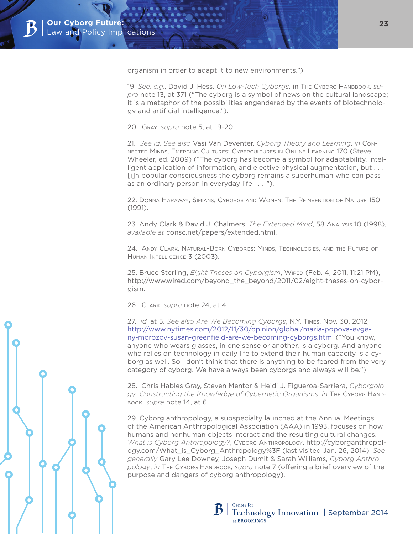organism in order to adapt it to new environments.")

19. See, e.g., David J. Hess, On Low-Tech Cyborgs, in The Cyborg Handbook, su*pra* note 13, at 371 ("The cyborg is a symbol of news on the cultural landscape; it is a metaphor of the possibilities engendered by the events of biotechnology and artificial intelligence.").

20. Gray, *supra* note 5, at 19-20.

21. *See id. See also* Vasi Van Deventer, *Cyborg Theory and Learning*, *in* Connected Minds, Emerging Cultures: Cybercultures in Online Learning 170 (Steve Wheeler, ed. 2009) ("The cyborg has become a symbol for adaptability, intelligent application of information, and elective physical augmentation, but . . . [i]n popular consciousness the cyborg remains a superhuman who can pass as an ordinary person in everyday life . . . .").

22. Donna Haraway, Simians, Cyborgs and Women: The Reinvention of Nature 150 (1991).

23. Andy Clark & David J. Chalmers, *The Extended Mind*, 58 Analysis 10 (1998), *available at* consc.net/papers/extended.html.

24. Andy Clark, Natural-Born Cyborgs: Minds, Technologies, and the Future of Human Intelligence 3 (2003).

25. Bruce Sterling, *Eight Theses on Cyborgism*, Wired (Feb. 4, 2011, 11:21 PM), http://www.wired.com/beyond\_the\_beyond/2011/02/eight-theses-on-cyborgism.

26. Clark, *supra* note 24, at 4.

27. *Id.* at 5. *See also Are We Becoming Cyborgs*, N.Y. Times, Nov. 30, 2012, [http://www.nytimes.com/2012/11/30/opinion/global/maria-popova-evge](http://www.nytimes.com/2012/11/30/opinion/global/maria-popova-evgeny-morozov-susan-greenfield-are-we-becoming-cyborgs.html)[ny-morozov-susan-greenfield-are-we-becoming-cyborgs.html](http://www.nytimes.com/2012/11/30/opinion/global/maria-popova-evgeny-morozov-susan-greenfield-are-we-becoming-cyborgs.html) ("You know, anyone who wears glasses, in one sense or another, is a cyborg. And anyone who relies on technology in daily life to extend their human capacity is a cyborg as well. So I don't think that there is anything to be feared from the very category of cyborg. We have always been cyborgs and always will be.")

28. Chris Hables Gray, Steven Mentor & Heidi J. Figueroa-Sarriera, *Cyborgology: Constructing the Knowledge of Cybernetic Organisms*, *in* The Cyborg Handbook, *supra* note 14, at 6.

29. Cyborg anthropology, a subspecialty launched at the Annual Meetings of the American Anthropological Association (AAA) in 1993, focuses on how humans and nonhuman objects interact and the resulting cultural changes. *What is Cyborg Anthropology?*, Cyborg Anthropology, http://cyborganthropology.com/What\_is\_Cyborg\_Anthropology%3F (last visited Jan. 26, 2014). *See generally* Gary Lee Downey, Joseph Dumit & Sarah Williams, *Cyborg Anthro*pology, in The Cyborg Handbook, *supra* note 7 (offering a brief overview of the purpose and dangers of cyborg anthropology).

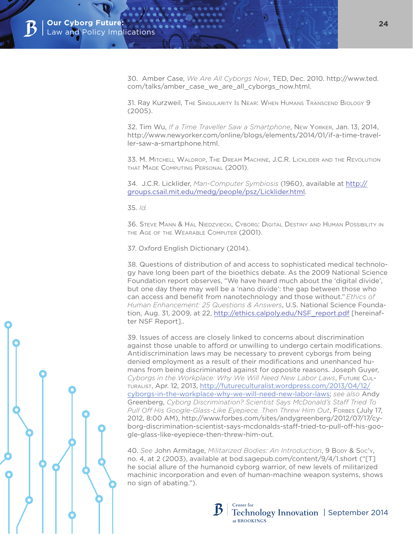30. Amber Case, *We Are All Cyborgs Now*, TED, Dec. 2010. http://www.ted. com/talks/amber\_case\_we\_are\_all\_cyborgs\_now.html.

31. Ray Kurzweil, The Singularity Is Near: When Humans Transcend Biology 9 (2005).

32. Tim Wu, *If a Time Traveller Saw a Smartphone*, New Yorker, Jan. 13, 2014, http://www.newyorker.com/online/blogs/elements/2014/01/if-a-time-traveller-saw-a-smartphone.html.

33. M. Mitchell Waldrop, The Dream Machine, J.C.R. Licklider and the Revolution that Made Computing Personal (2001).

34. J.C.R. Licklider, *Man-Computer Symbiosis* (1960), available at [http://](http://groups.csail.mit.edu/medg/people/psz/Licklider.html) [groups.csail.mit.edu/medg/people/psz/Licklider.html](http://groups.csail.mit.edu/medg/people/psz/Licklider.html).

35. *Id.*

36. Steve Mann & Hal Niedzviecki, Cyborg: Digital Destiny and Human Possibility in the Age of the Wearable Computer (2001).

37. Oxford English Dictionary (2014).

38. Questions of distribution of and access to sophisticated medical technology have long been part of the bioethics debate. As the 2009 National Science Foundation report observes, "We have heard much about the 'digital divide', but one day there may well be a 'nano divide': the gap between those who can access and benefit from nanotechnology and those without." *Ethics of Human Enhancement: 25 Questions & Answers*, U.S. National Science Foundation, Aug. 31, 2009, at 22, [http://ethics.calpoly.edu/NSF\\_report.pdf](http://ethics.calpoly.edu/NSF_report.pdf) [hereinafter NSF Report]..

39. Issues of access are closely linked to concerns about discrimination against those unable to afford or unwilling to undergo certain modifications. Antidiscrimination laws may be necessary to prevent cyborgs from being denied employment as a result of their modifications and unenhanced humans from being discriminated against for opposite reasons. Joseph Guyer, *Cyborgs in the Workplace: Why We Will Need New Labor Laws*, Future Culturalist, Apr. 12, 2013, [http://futureculturalist.wordpress.com/2013/04/12/](http://futureculturalist.wordpress.com/2013/04/12/cyborgs-in-the-workplace-why-we-will-need-new-labor-laws/) [cyborgs-in-the-workplace-why-we-will-need-new-labor-laws;](http://futureculturalist.wordpress.com/2013/04/12/cyborgs-in-the-workplace-why-we-will-need-new-labor-laws/) *see also* Andy Greenberg, *Cyborg Discrimination? Scientist Says McDonald's Staff Tried To Pull Off His Google-Glass-Like Eyepiece, Then Threw Him Out*, Fore es (July 17, 2012, 8:00 AM), http://www.forbes.com/sites/andygreenberg/2012/07/17/cyborg-discrimination-scientist-says-mcdonalds-staff-tried-to-pull-off-his-google-glass-like-eyepiece-then-threw-him-out.

40. *See* John Armitage, *Militarized Bodies: An Introduction*, 9 Body & Soc'y, no. 4, at 2 (2003), available at bod.sagepub.com/content/9/4/1.short ("[T] he social allure of the humanoid cyborg warrior, of new levels of militarized machinic incorporation and even of human-machine weapon systems, shows no sign of abating.").

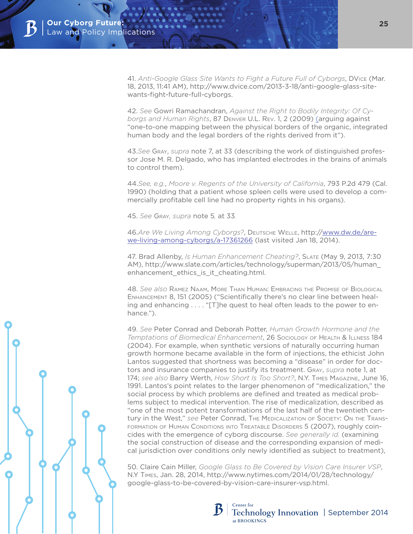41. *Anti-Google Glass Site Wants to Fight a Future Full of Cyborgs*, DVice (Mar. 18, 2013, 11:41 AM), http://www.dvice.com/2013-3-18/anti-google-glass-sitewants-fight-future-full-cyborgs.

42. *See* Gowri Ramachandran, *Against the Right to Bodily Integrity: Of Cyborgs and Human Rights*, 87 Denver U.L. Rev. 1, 2 (2009) (arguing against "one-to-one mapping between the physical borders of the organic, integrated human body and the legal borders of the rights derived from it").

43.*See* Gray, *supra* note 7, at 33 (describing the work of distinguished professor Jose M. R. Delgado, who has implanted electrodes in the brains of animals to control them).

44.*See, e.g.*, *Moore v. Regents of the University of California*, 793 P.2d 479 (Cal. 1990) (holding that a patient whose spleen cells were used to develop a commercially profitable cell line had no property rights in his organs).

45. *See* Gray*, supra* note 5*,* at 33*.*

46.*Are We Living Among Cyborgs?*, Deutsche Welle, http:/[/www.dw.de/are](http://www.dw.de/are-we-living-among-cyborgs/a-17361266)[we-living-among-cyborgs/a-17361266](http://www.dw.de/are-we-living-among-cyborgs/a-17361266) (last visited Jan 18, 2014).

47. Brad Allenby, *Is Human Enhancement Cheating?*, Slate (May 9, 2013, 7:30 AM), http://www.slate.com/articles/technology/superman/2013/05/human\_ enhancement\_ethics\_is\_it\_cheating.html.

48. *See also* Ramez Naam, More Than Human: Embracing the Promise of Biological Enhancement 8, 151 (2005) ("Scientifically there's no clear line between healing and enhancing . . . . "[T]he quest to heal often leads to the power to enhance.").

49. *See* Peter Conrad and Deborah Potter, *Human Growth Hormone and the Temptations of Biomedical Enhancement*, 26 Sociology of Health & Illness 184 (2004). For example, when synthetic versions of naturally occurring human growth hormone became available in the form of injections, the ethicist John Lantos suggested that shortness was becoming a "disease" in order for doctors and insurance companies to justify its treatment. Gray, *supra* note 1, at 174; *see also* Barry Werth, *How Short Is Too Short?*, N.Y. Times Magazine, June 16, 1991. Lantos's point relates to the larger phenomenon of "medicalization," the social process by which problems are defined and treated as medical problems subject to medical intervention. The rise of medicalization, described as "one of the most potent transformations of the last half of the twentieth century in the West," *see* Peter Conrad, The Medicalization of Society: On the Transformation of Human Conditions into Treatable Disorders 5 (2007), roughly coincides with the emergence of cyborg discourse. *See generally id.* (examining the social construction of disease and the corresponding expansion of medical jurisdiction over conditions only newly identified as subject to treatment),

50. Claire Cain Miller, *Google Glass to Be Covered by Vision Care Insurer VSP*, N.Y Times, Jan. 28, 2014, http://www.nytimes.com/2014/01/28/technology/ google-glass-to-be-covered-by-vision-care-insurer-vsp.html.

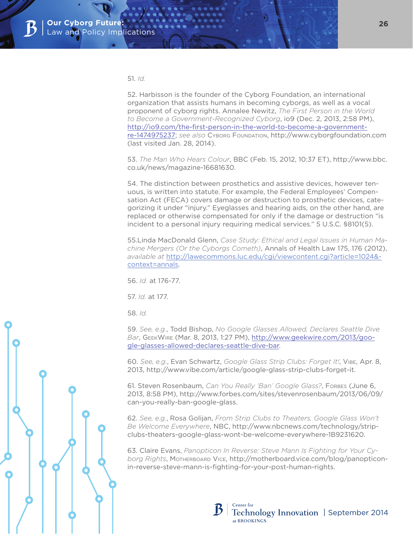#### 51. *Id.*

52. Harbisson is the founder of the Cyborg Foundation, an international organization that assists humans in becoming cyborgs, as well as a vocal proponent of cyborg rights. Annalee Newitz, *The First Person in the World to Become a Government-Recognized Cyborg*, io9 (Dec. 2, 2013, 2:58 PM), [http://io9.com/the-first-person-in-the-world-to-become-a-government](http://io9.com/the-first-person-in-the-world-to-become-a-government-re-1474975237)[re-1474975237](http://io9.com/the-first-person-in-the-world-to-become-a-government-re-1474975237); *see also* Cyborg Foundation, http://www.cyborgfoundation.com (last visited Jan. 28, 2014).

53. *The Man Who Hears Colour*, BBC (Feb. 15, 2012, 10:37 ET), http://www.bbc. co.uk/news/magazine-16681630.

54. The distinction between prosthetics and assistive devices, however tenuous, is written into statute. For example, the Federal Employees' Compensation Act (FECA) covers damage or destruction to prosthetic devices, categorizing it under "injury." Eyeglasses and hearing aids, on the other hand, are replaced or otherwise compensated for only if the damage or destruction "is incident to a personal injury requiring medical services." 5 U.S.C. §8101(5).

55.Linda MacDonald Glenn, *Case Study: Ethical and Legal Issues in Human Machine Mergers (Or the Cyborgs Cometh)*, Annals of Health Law 175, 176 (2012), *available at* [http://lawecommons.luc.edu/cgi/viewcontent.cgi?article=1024&](http://lawecommons.luc.edu/cgi/viewcontent.cgi?article=1024&context=annals) [context=annals](http://lawecommons.luc.edu/cgi/viewcontent.cgi?article=1024&context=annals).

56. *Id.* at 176-77.

57. *Id.* at 177.

58. *Id.*

59. *See, e.g.*, Todd Bishop, *No Google Glasses Allowed, Declares Seattle Dive Bar*, GeekWire (Mar. 8, 2013, 1:27 PM), [http://www.geekwire.com/2013/goo](http://www.geekwire.com/2013/google-glasses-allowed-declares-seattle-dive-bar)[gle-glasses-allowed-declares-seattle-dive-bar.](http://www.geekwire.com/2013/google-glasses-allowed-declares-seattle-dive-bar)

60. *See, e.g.*, Evan Schwartz, *Google Glass Strip Clubs: Forget It!*, Vibe, Apr. 8, 2013, http://www.vibe.com/article/google-glass-strip-clubs-forget-it.

61. Steven Rosenbaum, *Can You Really 'Ban' Google Glass?*, Forees (June 6, 2013, 8:58 PM), http://www.forbes.com/sites/stevenrosenbaum/2013/06/09/ can-you-really-ban-google-glass.

62. *See, e.g.*, Rosa Golijan, *From Strip Clubs to Theaters, Google Glass Won't Be Welcome Everywhere*, NBC, http://www.nbcnews.com/technology/stripclubs-theaters-google-glass-wont-be-welcome-everywhere-1B9231620.

63. Claire Evans, *Panopticon In Reverse: Steve Mann Is Fighting for Your Cyborg Rights*, Motherboard Vice, http://motherboard.vice.com/blog/panopticonin-reverse-steve-mann-is-fighting-for-your-post-human-rights.

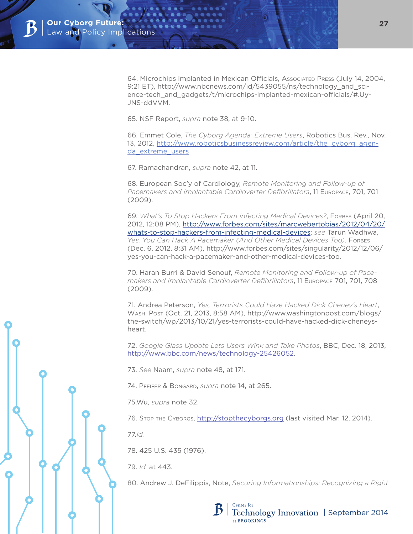64. Microchips implanted in Mexican Officials, Associated Press (July 14, 2004, 9:21 ET), http://www.nbcnews.com/id/5439055/ns/technology\_and\_science-tech\_and\_gadgets/t/microchips-implanted-mexican-officials/#.Uy-JNS-ddVVM.

65. NSF Report, *supra* note 38, at 9-10.

66. Emmet Cole, *The Cyborg Agenda: Extreme Users*, Robotics Bus. Rev., Nov. 13, 2012, [http://www.roboticsbusinessreview.com/article/the\\_cyborg\\_agen](http://www.roboticsbusinessreview.com/article/the_cyborg_agenda_extreme_users)[da\\_extreme\\_users](http://www.roboticsbusinessreview.com/article/the_cyborg_agenda_extreme_users)

67. Ramachandran, *supra* note 42, at 11.

68. European Soc'y of Cardiology, *Remote Monitoring and Follow-up of Pacemakers and Implantable Cardioverter Defibrillators*, 11 Europace, 701, 701 (2009).

69. *What's To Stop Hackers From Infecting Medical Devices?*, Forbes (April 20, 2012, 12:08 PM), [http://www.forbes.com/sites/marcwebertobias/2012/04/20/](http://www.forbes.com/sites/marcwebertobias/2012/04/20/whats-to-stop-hackers-from-infecting-medical-devices) [whats-to-stop-hackers-from-infecting-medical-devices](http://www.forbes.com/sites/marcwebertobias/2012/04/20/whats-to-stop-hackers-from-infecting-medical-devices); *see* Tarun Wadhwa, *Yes, You Can Hack A Pacemaker (And Other Medical Devices Too)*, Forbes (Dec. 6, 2012, 8:31 AM), http://www.forbes.com/sites/singularity/2012/12/06/ yes-you-can-hack-a-pacemaker-and-other-medical-devices-too.

70. Haran Burri & David Senouf, *Remote Monitoring and Follow-up of Pacemakers and Implantable Cardioverter Defibrillators*, 11 Europace 701, 701, 708 (2009).

71. Andrea Peterson, *Yes, Terrorists Could Have Hacked Dick Cheney's Heart*, Wash. Post (Oct. 21, 2013, 8:58 AM), http://www.washingtonpost.com/blogs/ the-switch/wp/2013/10/21/yes-terrorists-could-have-hacked-dick-cheneysheart.

72. *Google Glass Update Lets Users Wink and Take Photos*, BBC, Dec. 18, 2013, [http://www.bbc.com/news/technology-25426052.](http://www.bbc.com/news/technology-25426052)

73. *See* Naam, *supra* note 48, at 171.

74. Pfeifer & Bongard, *supra* note 14, at 265.

75.Wu, *supra* note 32.

76. STOP THE CYBORGS,<http://stopthecyborgs.org>(last visited Mar. 12, 2014).

77.*Id.*

78. 425 U.S. 435 (1976).

79. *Id.* at 443.

80. Andrew J. DeFilippis, Note, *Securing Informationships: Recognizing a Right*